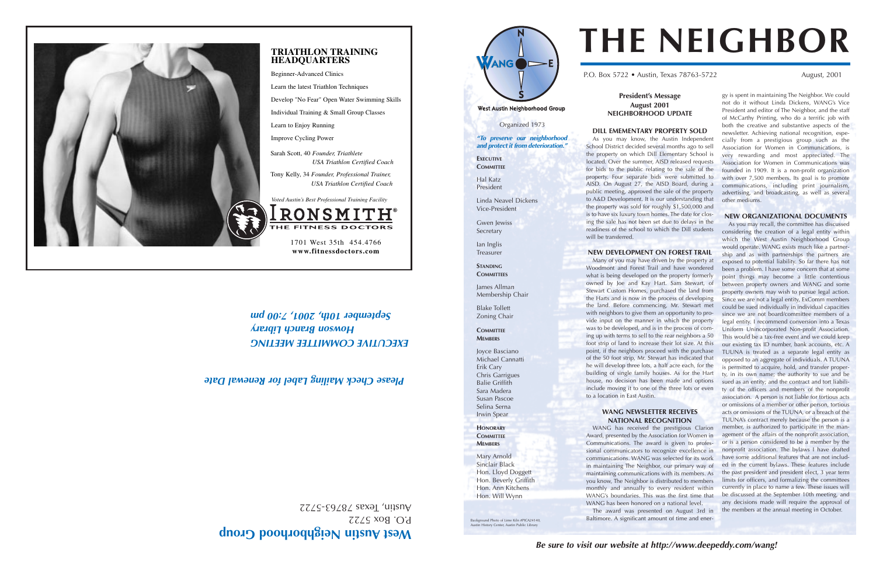## **est Austin Neighborhood Group**

 $BOSZZZ$  $ZZZS - E9Z8Z$  sexal 'unsny

#### **President's Message August 2001 NEIGHBORHOOD UPDATE**

#### **DILL EMEMENTARY PROPERTY SOLD**

As you may know, the Austin Independent School District decided several months ago to sell the property on which Dill Elementary School is located. Over the summer, AISD released requests for bids to the public relating to the sale of the property. Four separate bids were submitted to AISD. On August 27, the AISD Board, during a public meeting, approved the sale of the property to A&D Development. It is our understanding that the property was sold for roughly \$1,500,000 and is to have six luxury town homes. The date for closing the sale has not been set due to delays in the readiness of the school to which the Dill students will be transferred.

#### **NEW DEVELOPMENT ON FOREST TRAIL**

Many of you may have driven by the property at Woodmont and Forest Trail and have wondered what is being developed on the property formerly owned by Joe and Kay Hart. Sam Stewart, of Stewart Custom Homes, purchased the land from the Harts and is now in the process of developing the land. Before commencing, Mr. Stewart met with neighbors to give them an opportunity to provide input on the manner in which the property was to be developed, and is in the process of coming up with terms to sell to the rear neighbors a 50 foot strip of land to increase their lot size. At this point, if the neighbors proceed with the purchase of the 50 foot strip, Mr. Stewart has indicated that he will develop three lots, a half acre each, for the building of single family houses. As for the Hart house, no decision has been made and options include moving it to one of the three lots or even to a location in East Austin.

#### **WANG NEWSLETTER RECEIVES NATIONAL RECOGNITION**

WANG has received the prestigious Clarion Award, presented by the Association for Women in Communications. The award is given to professional communicators to recognize excellence in communications. WANG was selected for its work in maintaining The Neighbor, our primary way of maintaining communications with its members. As you know, The Neighbor is distributed to members monthly and annually to every resident within WANG's boundaries. This was the first time that WANG has been honored on a national level.

The award was presented on August 3rd in Baltimore. A significant amount of time and energy is spent in maintaining The Neighbor. We could not do it without Linda Dickens, WANG's Vice President and editor of The Neighbor, and the staff of McCarthy Printing, who do a terrific job with both the creative and substantive aspects of the newsletter. Achieving national recognition, especially from a prestigious group such as the Association for Women in Communications, is very rewarding and most appreciated. The Association for Women in Communications was founded in 1909. It is a non-profit organization with over 7,500 members. Its goal is to promote communications, including print journalism, advertising, and broadcasting, as well as several other mediums.

**EXECUTIVE COMMITTEE** Hal Katz President



P.O. Box 5722 • Austin, Texas 78763-5722 August, 2001

#### **NEW ORGANIZATIONAL DOCUMENTS**

As you may recall, the committee has discussed considering the creation of a legal entity within which the West Austin Neighborhood Group would operate. WANG exists much like a partnership and as with partnerships the partners are exposed to potential liability. So far there has not been a problem. I have some concern that at some point things may become a little contentious between property owners and WANG and some property owners may wish to pursue legal action. Since we are not a legal entity, ExComm members could be sued individually in individual capacities since we are not board/committee members of a legal entity. I recommend conversion into a Texas Uniform Unincorporated Non-profit Association. This would be a tax-free event and we could keep our existing tax ID number, bank accounts, etc. A TUUNA is treated as a separate legal entity as opposed to an aggregate of individuals. A TUUNA is permitted to acquire, hold, and transfer property, in its own name; the authority to sue and be sued as an entity; and the contract and tort liability of the officers and members of the nonprofit association. A person is not liable for tortious acts or omissions of a member or other person, tortious acts or omissions of the TUUNA, or a breach of the TUUNA's contract merely because the person is a member, is authorized to participate in the management of the affairs of the nonprofit association, or is a person considered to be a member by the nonprofit association. The bylaws I have drafted have some additional features that are not included in the current bylaws. These features include the past president and president elect, 3 year term limits for officers, and formalizing the committees currently in place to name a few. These issues will be discussed at the September 10th meeting, and any decisions made will require the approval of the members at the annual meeting in October.

# **THE NEIGHBOR**

*EXECUTIVE COMMITTEE MEETING Howson Branch Library September 10th, 2001, 7:00 pm*

**TRIATHLON TRAINING**

**HEADQUARTERS** Beginner-Advanced Clinics

Learn the latest Triathlon Techniques

Develop "No Fear" Open Water Swimming Skills

Individual Training & Small Group Classes

Learn to Enjoy Running Improve Cycling Power

Sarah Scott, 40 *Founder, Triathlete*







**www.fitnessdoctors.com**

Organized 1973 *"To preserve our neighborhood and protect it from deterioration."*

Linda Neavel Dickens Vice-President

Gwen lewiss Secretary Ian Inglis Treasurer **STANDING COMMITTEES** 

James Allman

Membership Chair

Blake Tollett Zoning Chair

**COMMITTEE MEMBERS**

Joyce Basciano Michael Cannatti Erik Cary Chris Garrigues Balie Griffith Sara Madera Susan Pascoe Selina Serna Irwin Spear **HONORARY COMMITTEE MEMBERS**

Mary Arnold Sinclair Black Hon. Lloyd Doggett Hon. Beverly Griffith Hon. Ann Kitchens Hon. Will Wynn

### *Please Check Mailing Label for Renewal Date*

Background Photo of Lime Kiln #PICA24140, Austin History Center, Austin Public Library